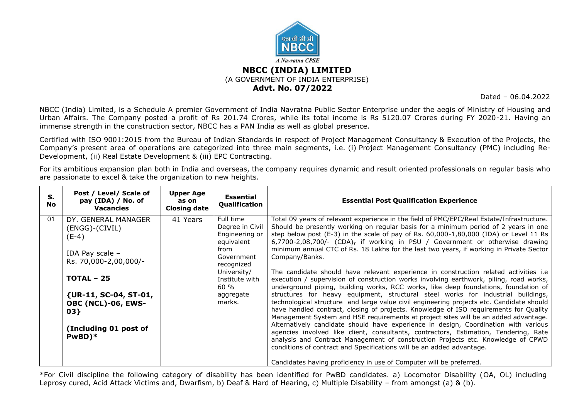

#### **NBCC (INDIA) LIMITED** (A GOVERNMENT OF INDIA ENTERPRISE) **Advt. No. 07/2022**

Dated – 06.04.2022

NBCC (India) Limited, is a Schedule A premier Government of India Navratna Public Sector Enterprise under the aegis of Ministry of Housing and Urban Affairs. The Company posted a profit of Rs 201.74 Crores, while its total income is Rs 5120.07 Crores during FY 2020-21. Having an immense strength in the construction sector, NBCC has a PAN India as well as global presence.

Certified with ISO 9001:2015 from the Bureau of Indian Standards in respect of Project Management Consultancy & Execution of the Projects, the Company's present area of operations are categorized into three main segments, i.e. (i) Project Management Consultancy (PMC) including Re-Development, (ii) Real Estate Development & (iii) EPC Contracting.

For its ambitious expansion plan both in India and overseas, the company requires dynamic and result oriented professionals on regular basis who are passionate to excel & take the organization to new heights.

| S.<br><b>No</b> | Post / Level/ Scale of<br>pay (IDA) / No. of<br><b>Vacancies</b>                                                                                                                                                   | <b>Upper Age</b><br>as on<br>Closing date | <b>Essential</b><br>Qualification                                                                                                                                | <b>Essential Post Qualification Experience</b>                                                                                                                                                                                                                                                                                                                                                                                                                                                                                                                                                                                                                                                                                                                                                                                                                                                                                                                                                                                                                                                                                                                                                                                                                                                                                                                                                                                                                                                                                     |
|-----------------|--------------------------------------------------------------------------------------------------------------------------------------------------------------------------------------------------------------------|-------------------------------------------|------------------------------------------------------------------------------------------------------------------------------------------------------------------|------------------------------------------------------------------------------------------------------------------------------------------------------------------------------------------------------------------------------------------------------------------------------------------------------------------------------------------------------------------------------------------------------------------------------------------------------------------------------------------------------------------------------------------------------------------------------------------------------------------------------------------------------------------------------------------------------------------------------------------------------------------------------------------------------------------------------------------------------------------------------------------------------------------------------------------------------------------------------------------------------------------------------------------------------------------------------------------------------------------------------------------------------------------------------------------------------------------------------------------------------------------------------------------------------------------------------------------------------------------------------------------------------------------------------------------------------------------------------------------------------------------------------------|
| 01              | DY. GENERAL MANAGER<br>(ENGG)-(CIVIL)<br>$(E-4)$<br>IDA Pay scale -<br>Rs. 70,000-2,00,000/-<br>$TOTAL - 25$<br>{UR-11, SC-04, ST-01,<br>OBC (NCL)-06, EWS-<br>03}<br>(Including 01 post of<br>$PwBD$ <sup>*</sup> | 41 Years                                  | Full time<br>Degree in Civil<br>Engineering or<br>equivalent<br>from<br>Government<br>recognized<br>University/<br>Institute with<br>60 %<br>aggregate<br>marks. | Total 09 years of relevant experience in the field of PMC/EPC/Real Estate/Infrastructure.<br>Should be presently working on regular basis for a minimum period of 2 years in one<br>step below post (E-3) in the scale of pay of Rs. 60,000-1,80,000 (IDA) or Level 11 Rs<br>6,7700-2,08,700/- (CDA), if working in PSU / Government or otherwise drawing<br>minimum annual CTC of Rs. 18 Lakhs for the last two years, if working in Private Sector<br>Company/Banks.<br>The candidate should have relevant experience in construction related activities i.e<br>execution / supervision of construction works involving earthwork, piling, road works,<br>underground piping, building works, RCC works, like deep foundations, foundation of<br>structures for heavy equipment, structural steel works for industrial buildings,<br>technological structure and large value civil engineering projects etc. Candidate should<br>have handled contract, closing of projects. Knowledge of ISO requirements for Quality<br>Management System and HSE requirements at project sites will be an added advantage.<br>Alternatively candidate should have experience in design, Coordination with various<br>agencies involved like client, consultants, contractors, Estimation, Tendering, Rate<br>analysis and Contract Management of construction Projects etc. Knowledge of CPWD<br>conditions of contract and Specifications will be an added advantage.<br>Candidates having proficiency in use of Computer will be preferred. |

\*For Civil discipline the following category of disability has been identified for PwBD candidates. a) Locomotor Disability (OA, OL) including Leprosy cured, Acid Attack Victims and, Dwarfism, b) Deaf & Hard of Hearing, c) Multiple Disability – from amongst (a) & (b).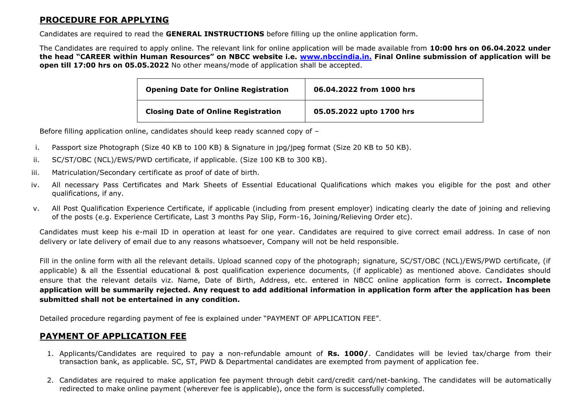# **PROCEDURE FOR APPLYING**

Candidates are required to read the **GENERAL INSTRUCTIONS** before filling up the online application form.

The Candidates are required to apply online. The relevant link for online application will be made available from **10:00 hrs on 06.04.2022 under the head "CAREER within Human Resources" on NBCC website i.e. [www.nbccindia.in.](http://www.nbccindia.in./) Final Online submission of application will be open till 17:00 hrs on 05.05.2022** No other means/mode of application shall be accepted.

| <b>Opening Date for Online Registration</b> | 06.04.2022 from 1000 hrs |  |
|---------------------------------------------|--------------------------|--|
| <b>Closing Date of Online Registration</b>  | 05.05.2022 upto 1700 hrs |  |

Before filling application online, candidates should keep ready scanned copy of –

- i. Passport size Photograph (Size 40 KB to 100 KB) & Signature in jpg/jpeg format (Size 20 KB to 50 KB).
- ii. SC/ST/OBC (NCL)/EWS/PWD certificate, if applicable. (Size 100 KB to 300 KB).
- iii. Matriculation/Secondary certificate as proof of date of birth.
- iv. All necessary Pass Certificates and Mark Sheets of Essential Educational Qualifications which makes you eligible for the post and other qualifications, if any.
- v. All Post Qualification Experience Certificate, if applicable (including from present employer) indicating clearly the date of joining and relieving of the posts (e.g. Experience Certificate, Last 3 months Pay Slip, Form-16, Joining/Relieving Order etc).

Candidates must keep his e-mail ID in operation at least for one year. Candidates are required to give correct email address. In case of non delivery or late delivery of email due to any reasons whatsoever, Company will not be held responsible.

Fill in the online form with all the relevant details. Upload scanned copy of the photograph; signature, SC/ST/OBC (NCL)/EWS/PWD certificate, (if applicable) & all the Essential educational & post qualification experience documents, (if applicable) as mentioned above. Candidates should ensure that the relevant details viz. Name, Date of Birth, Address, etc. entered in NBCC online application form is correct**. Incomplete application will be summarily rejected. Any request to add additional information in application form after the application has been submitted shall not be entertained in any condition.**

Detailed procedure regarding payment of fee is explained under "PAYMENT OF APPLICATION FEE".

# **PAYMENT OF APPLICATION FEE**

- 1. Applicants/Candidates are required to pay a non-refundable amount of **Rs. 1000/**. Candidates will be levied tax/charge from their transaction bank, as applicable. SC, ST, PWD & Departmental candidates are exempted from payment of application fee.
- 2. Candidates are required to make application fee payment through debit card/credit card/net-banking. The candidates will be automatically redirected to make online payment (wherever fee is applicable), once the form is successfully completed.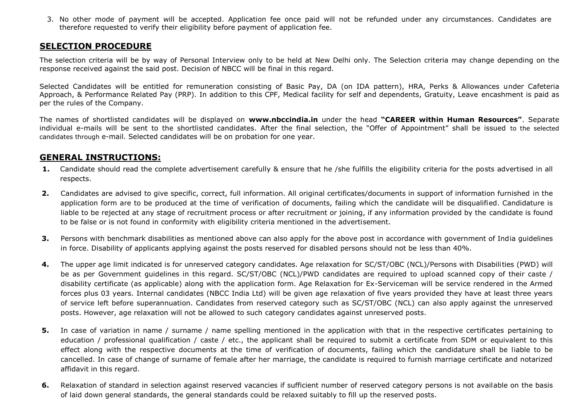3. No other mode of payment will be accepted. Application fee once paid will not be refunded under any circumstances. Candidates are therefore requested to verify their eligibility before payment of application fee.

### **SELECTION PROCEDURE**

The selection criteria will be by way of Personal Interview only to be held at New Delhi only. The Selection criteria may change depending on the response received against the said post. Decision of NBCC will be final in this regard.

Selected Candidates will be entitled for remuneration consisting of Basic Pay, DA (on IDA pattern), HRA, Perks & Allowances under Cafeteria Approach, & Performance Related Pay (PRP). In addition to this CPF, Medical facility for self and dependents, Gratuity, Leave encashment is paid as per the rules of the Company.

The names of shortlisted candidates will be displayed on **www.nbccindia.in** under the head **"CAREER within Human Resources"**. Separate individual e-mails will be sent to the shortlisted candidates. After the final selection, the "Offer of Appointment" shall be issued to the selected candidates through e-mail. Selected candidates will be on probation for one year.

#### **GENERAL INSTRUCTIONS:**

- **1.** Candidate should read the complete advertisement carefully & ensure that he /she fulfills the eligibility criteria for the posts advertised in all respects.
- **2.** Candidates are advised to give specific, correct, full information. All original certificates/documents in support of information furnished in the application form are to be produced at the time of verification of documents, failing which the candidate will be disqualified. Candidature is liable to be rejected at any stage of recruitment process or after recruitment or joining, if any information provided by the candidate is found to be false or is not found in conformity with eligibility criteria mentioned in the advertisement.
- **3.** Persons with benchmark disabilities as mentioned above can also apply for the above post in accordance with government of India quidelines in force. Disability of applicants applying against the posts reserved for disabled persons should not be less than 40%.
- **4.** The upper age limit indicated is for unreserved category candidates. Age relaxation for SC/ST/OBC (NCL)/Persons with Disabilities (PWD) will be as per Government guidelines in this regard. SC/ST/OBC (NCL)/PWD candidates are required to upload scanned copy of their caste / disability certificate (as applicable) along with the application form. Age Relaxation for Ex-Serviceman will be service rendered in the Armed forces plus 03 years. Internal candidates (NBCC India Ltd) will be given age relaxation of five years provided they have at least three years of service left before superannuation. Candidates from reserved category such as SC/ST/OBC (NCL) can also apply against the unreserved posts. However, age relaxation will not be allowed to such category candidates against unreserved posts.
- **5.** In case of variation in name / surname / name spelling mentioned in the application with that in the respective certificates pertaining to education / professional qualification / caste / etc., the applicant shall be required to submit a certificate from SDM or equivalent to this effect along with the respective documents at the time of verification of documents, failing which the candidature shall be liable to be cancelled. In case of change of surname of female after her marriage, the candidate is required to furnish marriage certificate and notarized affidavit in this regard.
- **6.** Relaxation of standard in selection against reserved vacancies if sufficient number of reserved category persons is not available on the basis of laid down general standards, the general standards could be relaxed suitably to fill up the reserved posts.